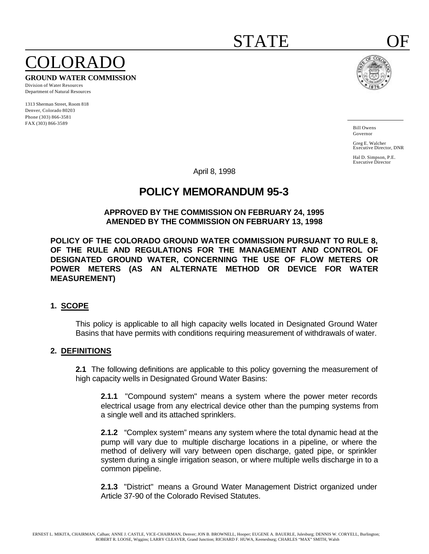# STATE OF

# ILORA

#### **GROUND WATER COMMISSION**

Division of Water Resources Department of Natural Resources

1313 Sherman Street, Room 818 Denver, Colorado 80203 Phone (303) 866-3581 FAX (303) 866-3589



Bill Owens Governor

Greg E. Walcher Executive Director, DNR

Hal D. Simpson, P.E. Executive Director

April 8, 1998

# **POLICY MEMORANDUM 95-3**

#### **APPROVED BY THE COMMISSION ON FEBRUARY 24, 1995 AMENDED BY THE COMMISSION ON FEBRUARY 13, 1998**

**POLICY OF THE COLORADO GROUND WATER COMMISSION PURSUANT TO RULE 8, OF THE RULE AND REGULATIONS FOR THE MANAGEMENT AND CONTROL OF DESIGNATED GROUND WATER, CONCERNING THE USE OF FLOW METERS OR POWER METERS (AS AN ALTERNATE METHOD OR DEVICE FOR WATER MEASUREMENT)**

#### **1. SCOPE**

This policy is applicable to all high capacity wells located in Designated Ground Water Basins that have permits with conditions requiring measurement of withdrawals of water.

## **2. DEFINITIONS**

**2.1** The following definitions are applicable to this policy governing the measurement of high capacity wells in Designated Ground Water Basins:

**2.1.1** "Compound system" means a system where the power meter records electrical usage from any electrical device other than the pumping systems from a single well and its attached sprinklers.

**2.1.2** "Complex system" means any system where the total dynamic head at the pump will vary due to multiple discharge locations in a pipeline, or where the method of delivery will vary between open discharge, gated pipe, or sprinkler system during a single irrigation season, or where multiple wells discharge in to a common pipeline.

**2.1.3** "District" means a Ground Water Management District organized under Article 37-90 of the Colorado Revised Statutes.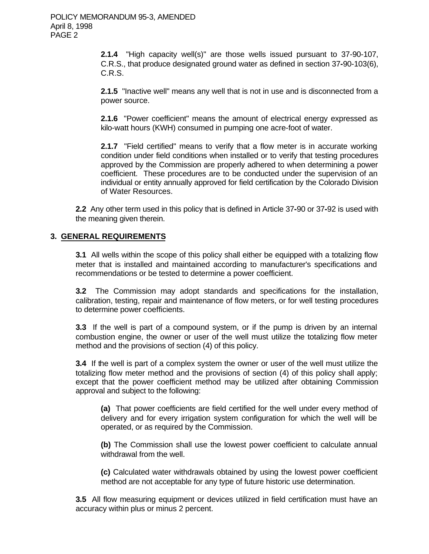**2.1.4** "High capacity well(s)" are those wells issued pursuant to 37-90-107, C.R.S., that produce designated ground water as defined in section 37**-**90-103(6), C.R.S.

**2.1.5** "Inactive well" means any well that is not in use and is disconnected from a power source.

**2.1.6** "Power coefficient" means the amount of electrical energy expressed as kilo-watt hours (KWH) consumed in pumping one acre-foot of water.

**2.1.7** "Field certified" means to verify that a flow meter is in accurate working condition under field conditions when installed or to verify that testing procedures approved by the Commission are properly adhered to when determining a power coefficient. These procedures are to be conducted under the supervision of an individual or entity annually approved for field certification by the Colorado Division of Water Resources.

**2.2** Any other term used in this policy that is defined in Article 37**-**90 or 37**-**92 is used with the meaning given therein.

## **3. GENERAL REQUIREMENTS**

**3.1** All wells within the scope of this policy shall either be equipped with a totalizing flow meter that is installed and maintained according to manufacturer's specifications and recommendations or be tested to determine a power coefficient.

**3.2** The Commission may adopt standards and specifications for the installation, calibration, testing, repair and maintenance of flow meters, or for well testing procedures to determine power coefficients.

**3.3** If the well is part of a compound system, or if the pump is driven by an internal combustion engine, the owner or user of the well must utilize the totalizing flow meter method and the provisions of section (4) of this policy.

**3.4** If the well is part of a complex system the owner or user of the well must utilize the totalizing flow meter method and the provisions of section (4) of this policy shall apply; except that the power coefficient method may be utilized after obtaining Commission approval and subject to the following:

**(a)** That power coefficients are field certified for the well under every method of delivery and for every irrigation system configuration for which the well will be operated, or as required by the Commission.

**(b)** The Commission shall use the lowest power coefficient to calculate annual withdrawal from the well.

**(c)** Calculated water withdrawals obtained by using the lowest power coefficient method are not acceptable for any type of future historic use determination.

**3.5** All flow measuring equipment or devices utilized in field certification must have an accuracy within plus or minus 2 percent.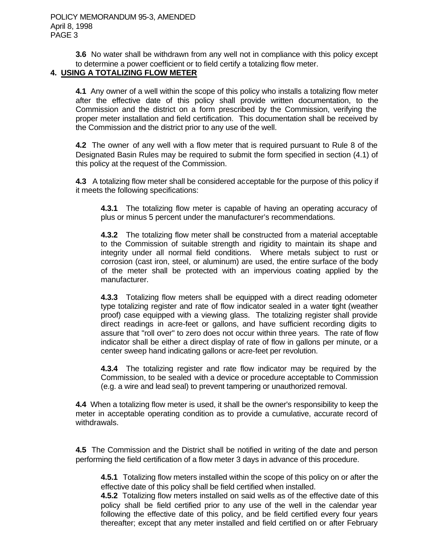**3.6** No water shall be withdrawn from any well not in compliance with this policy except to determine a power coefficient or to field certify a totalizing flow meter.

### **4. USING A TOTALIZING FLOW METER**

**4.1** Any owner of a well within the scope of this policy who installs a totalizing flow meter after the effective date of this policy shall provide written documentation, to the Commission and the district on a form prescribed by the Commission, verifying the proper meter installation and field certification. This documentation shall be received by the Commission and the district prior to any use of the well.

**4.2** The owner of any well with a flow meter that is required pursuant to Rule 8 of the Designated Basin Rules may be required to submit the form specified in section (4.1) of this policy at the request of the Commission.

**4.3** A totalizing flow meter shall be considered acceptable for the purpose of this policy if it meets the following specifications:

**4.3.1** The totalizing flow meter is capable of having an operating accuracy of plus or minus 5 percent under the manufacturer's recommendations.

**4.3.2** The totalizing flow meter shall be constructed from a material acceptable to the Commission of suitable strength and rigidity to maintain its shape and integrity under all normal field conditions. Where metals subject to rust or corrosion (cast iron, steel, or aluminum) are used, the entire surface of the body of the meter shall be protected with an impervious coating applied by the manufacturer.

**4.3.3** Totalizing flow meters shall be equipped with a direct reading odometer type totalizing register and rate of flow indicator sealed in a water tight (weather proof) case equipped with a viewing glass. The totalizing register shall provide direct readings in acre-feet or gallons, and have sufficient recording digits to assure that "roll over" to zero does not occur within three years. The rate of flow indicator shall be either a direct display of rate of flow in gallons per minute, or a center sweep hand indicating gallons or acre-feet per revolution.

**4.3.4** The totalizing register and rate flow indicator may be required by the Commission, to be sealed with a device or procedure acceptable to Commission (e.g. a wire and lead seal) to prevent tampering or unauthorized removal.

**4.4** When a totalizing flow meter is used, it shall be the owner's responsibility to keep the meter in acceptable operating condition as to provide a cumulative, accurate record of withdrawals.

**4.5** The Commission and the District shall be notified in writing of the date and person performing the field certification of a flow meter 3 days in advance of this procedure.

**4.5.1** Totalizing flow meters installed within the scope of this policy on or after the effective date of this policy shall be field certified when installed.

**4.5.2** Totalizing flow meters installed on said wells as of the effective date of this policy shall be field certified prior to any use of the well in the calendar year following the effective date of this policy, and be field certified every four years thereafter; except that any meter installed and field certified on or after February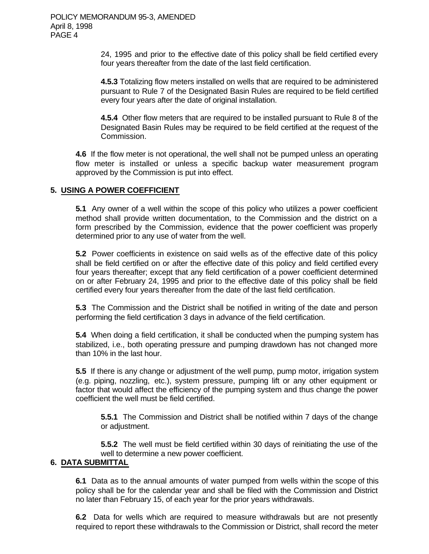24, 1995 and prior to the effective date of this policy shall be field certified every four years thereafter from the date of the last field certification.

**4.5.3** Totalizing flow meters installed on wells that are required to be administered pursuant to Rule 7 of the Designated Basin Rules are required to be field certified every four years after the date of original installation.

**4.5.4** Other flow meters that are required to be installed pursuant to Rule 8 of the Designated Basin Rules may be required to be field certified at the request of the Commission.

**4.6** If the flow meter is not operational, the well shall not be pumped unless an operating flow meter is installed or unless a specific backup water measurement program approved by the Commission is put into effect.

### **5. USING A POWER COEFFICIENT**

**5.1** Any owner of a well within the scope of this policy who utilizes a power coefficient method shall provide written documentation, to the Commission and the district on a form prescribed by the Commission, evidence that the power coefficient was properly determined prior to any use of water from the well.

**5.2** Power coefficients in existence on said wells as of the effective date of this policy shall be field certified on or after the effective date of this policy and field certified every four years thereafter; except that any field certification of a power coefficient determined on or after February 24, 1995 and prior to the effective date of this policy shall be field certified every four years thereafter from the date of the last field certification.

**5.3** The Commission and the District shall be notified in writing of the date and person performing the field certification 3 days in advance of the field certification.

**5.4** When doing a field certification, it shall be conducted when the pumping system has stabilized, i.e., both operating pressure and pumping drawdown has not changed more than 10% in the last hour.

**5.5** If there is any change or adjustment of the well pump, pump motor, irrigation system (e.g. piping, nozzling, etc.), system pressure, pumping lift or any other equipment or factor that would affect the efficiency of the pumping system and thus change the power coefficient the well must be field certified.

**5.5.1** The Commission and District shall be notified within 7 days of the change or adjustment.

**5.5.2** The well must be field certified within 30 days of reinitiating the use of the well to determine a new power coefficient.

#### **6. DATA SUBMITTAL**

**6.1** Data as to the annual amounts of water pumped from wells within the scope of this policy shall be for the calendar year and shall be filed with the Commission and District no later than February 15, of each year for the prior years withdrawals.

**6.2** Data for wells which are required to measure withdrawals but are not presently required to report these withdrawals to the Commission or District, shall record the meter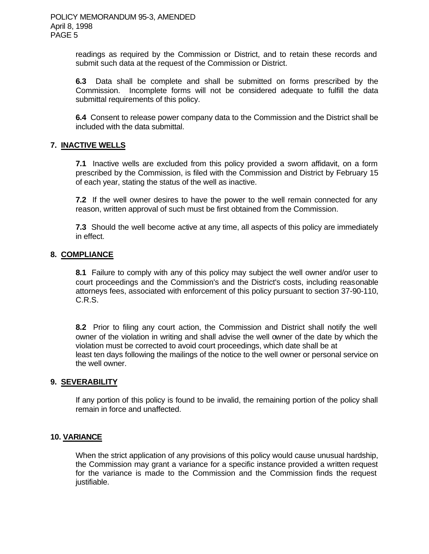readings as required by the Commission or District, and to retain these records and submit such data at the request of the Commission or District.

**6.3** Data shall be complete and shall be submitted on forms prescribed by the Commission. Incomplete forms will not be considered adequate to fulfill the data submittal requirements of this policy.

**6.4** Consent to release power company data to the Commission and the District shall be included with the data submittal.

#### **7. INACTIVE WELLS**

**7.1** Inactive wells are excluded from this policy provided a sworn affidavit, on a form prescribed by the Commission, is filed with the Commission and District by February 15 of each year, stating the status of the well as inactive.

**7.2** If the well owner desires to have the power to the well remain connected for any reason, written approval of such must be first obtained from the Commission.

**7.3** Should the well become active at any time, all aspects of this policy are immediately in effect.

#### **8. COMPLIANCE**

**8.1** Failure to comply with any of this policy may subject the well owner and/or user to court proceedings and the Commission's and the District's costs, including reasonable attorneys fees, associated with enforcement of this policy pursuant to section 37-90-110, C.R.S.

**8.2** Prior to filing any court action, the Commission and District shall notify the well owner of the violation in writing and shall advise the well owner of the date by which the violation must be corrected to avoid court proceedings, which date shall be at least ten days following the mailings of the notice to the well owner or personal service on the well owner.

#### **9. SEVERABILITY**

If any portion of this policy is found to be invalid, the remaining portion of the policy shall remain in force and unaffected.

#### **10. VARIANCE**

When the strict application of any provisions of this policy would cause unusual hardship, the Commission may grant a variance for a specific instance provided a written request for the variance is made to the Commission and the Commission finds the request justifiable.